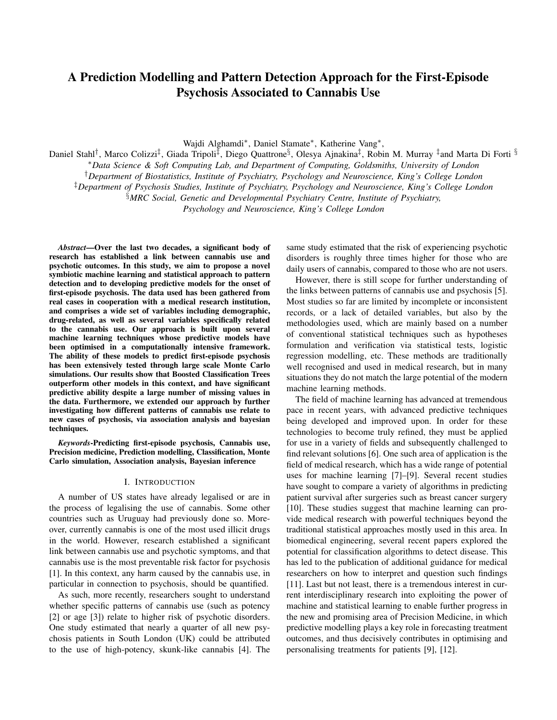# A Prediction Modelling and Pattern Detection Approach for the First-Episode Psychosis Associated to Cannabis Use

Wajdi Alghamdi<sup>∗</sup> , Daniel Stamate<sup>∗</sup> , Katherine Vang<sup>∗</sup> ,

Daniel Stahl<sup>†</sup>, Marco Colizzi<sup>‡</sup>, Giada Tripoli<sup>‡</sup>, Diego Quattrone<sup>§</sup>, Olesya Ajnakina‡, Robin M. Murray <sup>‡</sup>and Marta Di Forti <sup>§</sup>

<sup>∗</sup>*Data Science & Soft Computing Lab, and Department of Computing, Goldsmiths, University of London*

†*Department of Biostatistics, Institute of Psychiatry, Psychology and Neuroscience, King's College London*

‡*Department of Psychosis Studies, Institute of Psychiatry, Psychology and Neuroscience, King's College London*

§*MRC Social, Genetic and Developmental Psychiatry Centre, Institute of Psychiatry,*

*Psychology and Neuroscience, King's College London*

*Abstract*—Over the last two decades, a significant body of research has established a link between cannabis use and psychotic outcomes. In this study, we aim to propose a novel symbiotic machine learning and statistical approach to pattern detection and to developing predictive models for the onset of first-episode psychosis. The data used has been gathered from real cases in cooperation with a medical research institution, and comprises a wide set of variables including demographic, drug-related, as well as several variables specifically related to the cannabis use. Our approach is built upon several machine learning techniques whose predictive models have been optimised in a computationally intensive framework. The ability of these models to predict first-episode psychosis has been extensively tested through large scale Monte Carlo simulations. Our results show that Boosted Classification Trees outperform other models in this context, and have significant predictive ability despite a large number of missing values in the data. Furthermore, we extended our approach by further investigating how different patterns of cannabis use relate to new cases of psychosis, via association analysis and bayesian techniques.

*Keywords*-Predicting first-episode psychosis, Cannabis use, Precision medicine, Prediction modelling, Classification, Monte Carlo simulation, Association analysis, Bayesian inference

#### I. INTRODUCTION

A number of US states have already legalised or are in the process of legalising the use of cannabis. Some other countries such as Uruguay had previously done so. Moreover, currently cannabis is one of the most used illicit drugs in the world. However, research established a significant link between cannabis use and psychotic symptoms, and that cannabis use is the most preventable risk factor for psychosis [1]. In this context, any harm caused by the cannabis use, in particular in connection to psychosis, should be quantified.

As such, more recently, researchers sought to understand whether specific patterns of cannabis use (such as potency [2] or age [3]) relate to higher risk of psychotic disorders. One study estimated that nearly a quarter of all new psychosis patients in South London (UK) could be attributed to the use of high-potency, skunk-like cannabis [4]. The same study estimated that the risk of experiencing psychotic disorders is roughly three times higher for those who are daily users of cannabis, compared to those who are not users.

However, there is still scope for further understanding of the links between patterns of cannabis use and psychosis [5]. Most studies so far are limited by incomplete or inconsistent records, or a lack of detailed variables, but also by the methodologies used, which are mainly based on a number of conventional statistical techniques such as hypotheses formulation and verification via statistical tests, logistic regression modelling, etc. These methods are traditionally well recognised and used in medical research, but in many situations they do not match the large potential of the modern machine learning methods.

The field of machine learning has advanced at tremendous pace in recent years, with advanced predictive techniques being developed and improved upon. In order for these technologies to become truly refined, they must be applied for use in a variety of fields and subsequently challenged to find relevant solutions [6]. One such area of application is the field of medical research, which has a wide range of potential uses for machine learning [7]–[9]. Several recent studies have sought to compare a variety of algorithms in predicting patient survival after surgeries such as breast cancer surgery [10]. These studies suggest that machine learning can provide medical research with powerful techniques beyond the traditional statistical approaches mostly used in this area. In biomedical engineering, several recent papers explored the potential for classification algorithms to detect disease. This has led to the publication of additional guidance for medical researchers on how to interpret and question such findings [11]. Last but not least, there is a tremendous interest in current interdisciplinary research into exploiting the power of machine and statistical learning to enable further progress in the new and promising area of Precision Medicine, in which predictive modelling plays a key role in forecasting treatment outcomes, and thus decisively contributes in optimising and personalising treatments for patients [9], [12].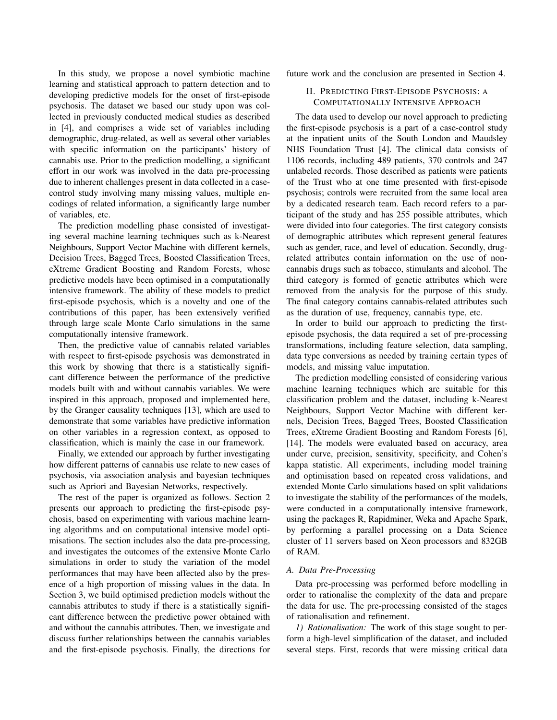In this study, we propose a novel symbiotic machine learning and statistical approach to pattern detection and to developing predictive models for the onset of first-episode psychosis. The dataset we based our study upon was collected in previously conducted medical studies as described in [4], and comprises a wide set of variables including demographic, drug-related, as well as several other variables with specific information on the participants' history of cannabis use. Prior to the prediction modelling, a significant effort in our work was involved in the data pre-processing due to inherent challenges present in data collected in a casecontrol study involving many missing values, multiple encodings of related information, a significantly large number of variables, etc.

The prediction modelling phase consisted of investigating several machine learning techniques such as k-Nearest Neighbours, Support Vector Machine with different kernels, Decision Trees, Bagged Trees, Boosted Classification Trees, eXtreme Gradient Boosting and Random Forests, whose predictive models have been optimised in a computationally intensive framework. The ability of these models to predict first-episode psychosis, which is a novelty and one of the contributions of this paper, has been extensively verified through large scale Monte Carlo simulations in the same computationally intensive framework.

Then, the predictive value of cannabis related variables with respect to first-episode psychosis was demonstrated in this work by showing that there is a statistically significant difference between the performance of the predictive models built with and without cannabis variables. We were inspired in this approach, proposed and implemented here, by the Granger causality techniques [13], which are used to demonstrate that some variables have predictive information on other variables in a regression context, as opposed to classification, which is mainly the case in our framework.

Finally, we extended our approach by further investigating how different patterns of cannabis use relate to new cases of psychosis, via association analysis and bayesian techniques such as Apriori and Bayesian Networks, respectively.

The rest of the paper is organized as follows. Section 2 presents our approach to predicting the first-episode psychosis, based on experimenting with various machine learning algorithms and on computational intensive model optimisations. The section includes also the data pre-processing, and investigates the outcomes of the extensive Monte Carlo simulations in order to study the variation of the model performances that may have been affected also by the presence of a high proportion of missing values in the data. In Section 3, we build optimised prediction models without the cannabis attributes to study if there is a statistically significant difference between the predictive power obtained with and without the cannabis attributes. Then, we investigate and discuss further relationships between the cannabis variables and the first-episode psychosis. Finally, the directions for future work and the conclusion are presented in Section 4.

## II. PREDICTING FIRST-EPISODE PSYCHOSIS: A COMPUTATIONALLY INTENSIVE APPROACH

The data used to develop our novel approach to predicting the first-episode psychosis is a part of a case-control study at the inpatient units of the South London and Maudsley NHS Foundation Trust [4]. The clinical data consists of 1106 records, including 489 patients, 370 controls and 247 unlabeled records. Those described as patients were patients of the Trust who at one time presented with first-episode psychosis; controls were recruited from the same local area by a dedicated research team. Each record refers to a participant of the study and has 255 possible attributes, which were divided into four categories. The first category consists of demographic attributes which represent general features such as gender, race, and level of education. Secondly, drugrelated attributes contain information on the use of noncannabis drugs such as tobacco, stimulants and alcohol. The third category is formed of genetic attributes which were removed from the analysis for the purpose of this study. The final category contains cannabis-related attributes such as the duration of use, frequency, cannabis type, etc.

In order to build our approach to predicting the firstepisode psychosis, the data required a set of pre-processing transformations, including feature selection, data sampling, data type conversions as needed by training certain types of models, and missing value imputation.

The prediction modelling consisted of considering various machine learning techniques which are suitable for this classification problem and the dataset, including k-Nearest Neighbours, Support Vector Machine with different kernels, Decision Trees, Bagged Trees, Boosted Classification Trees, eXtreme Gradient Boosting and Random Forests [6], [14]. The models were evaluated based on accuracy, area under curve, precision, sensitivity, specificity, and Cohen's kappa statistic. All experiments, including model training and optimisation based on repeated cross validations, and extended Monte Carlo simulations based on split validations to investigate the stability of the performances of the models, were conducted in a computationally intensive framework, using the packages R, Rapidminer, Weka and Apache Spark, by performing a parallel processing on a Data Science cluster of 11 servers based on Xeon processors and 832GB of RAM.

### *A. Data Pre-Processing*

Data pre-processing was performed before modelling in order to rationalise the complexity of the data and prepare the data for use. The pre-processing consisted of the stages of rationalisation and refinement.

*1) Rationalisation:* The work of this stage sought to perform a high-level simplification of the dataset, and included several steps. First, records that were missing critical data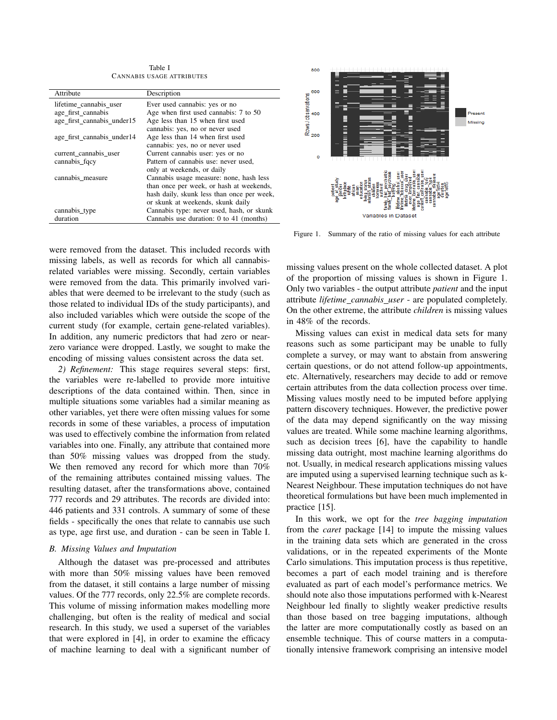Table I CANNABIS USAGE ATTRIBUTES

| Attribute                  | Description                                |  |
|----------------------------|--------------------------------------------|--|
| lifetime cannabis user     | Ever used cannabis: yes or no              |  |
| age first cannabis         | Age when first used cannabis: 7 to 50      |  |
| age first cannabis under15 | Age less than 15 when first used           |  |
|                            | cannabis: yes, no or never used            |  |
| age_first_cannabis_under14 | Age less than 14 when first used           |  |
|                            | cannabis: yes, no or never used            |  |
| current cannabis user      | Current cannabis user: yes or no           |  |
| cannabis_fqcy              | Pattern of cannabis use: never used.       |  |
|                            | only at weekends, or daily                 |  |
| cannabis measure           | Cannabis usage measure: none, hash less    |  |
|                            | than once per week, or hash at weekends,   |  |
|                            | hash daily, skunk less than once per week, |  |
|                            | or skunk at weekends, skunk daily          |  |
| cannabis_type              | Cannabis type: never used, hash, or skunk  |  |
| duration                   | Cannabis use duration: 0 to 41 (months)    |  |
|                            |                                            |  |



Figure 1. Summary of the ratio of missing values for each attribute

were removed from the dataset. This included records with missing labels, as well as records for which all cannabisrelated variables were missing. Secondly, certain variables were removed from the data. This primarily involved variables that were deemed to be irrelevant to the study (such as those related to individual IDs of the study participants), and also included variables which were outside the scope of the current study (for example, certain gene-related variables). In addition, any numeric predictors that had zero or nearzero variance were dropped. Lastly, we sought to make the encoding of missing values consistent across the data set.

*2) Refinement:* This stage requires several steps: first, the variables were re-labelled to provide more intuitive descriptions of the data contained within. Then, since in multiple situations some variables had a similar meaning as other variables, yet there were often missing values for some records in some of these variables, a process of imputation was used to effectively combine the information from related variables into one. Finally, any attribute that contained more than 50% missing values was dropped from the study. We then removed any record for which more than 70% of the remaining attributes contained missing values. The resulting dataset, after the transformations above, contained 777 records and 29 attributes. The records are divided into: 446 patients and 331 controls. A summary of some of these fields - specifically the ones that relate to cannabis use such as type, age first use, and duration - can be seen in Table I.

## *B. Missing Values and Imputation*

Although the dataset was pre-processed and attributes with more than 50% missing values have been removed from the dataset, it still contains a large number of missing values. Of the 777 records, only 22.5% are complete records. This volume of missing information makes modelling more challenging, but often is the reality of medical and social research. In this study, we used a superset of the variables that were explored in [4], in order to examine the efficacy of machine learning to deal with a significant number of missing values present on the whole collected dataset. A plot of the proportion of missing values is shown in Figure 1. Only two variables - the output attribute *patient* and the input attribute *lifetime cannabis user* - are populated completely. On the other extreme, the attribute *children* is missing values in 48% of the records.

Missing values can exist in medical data sets for many reasons such as some participant may be unable to fully complete a survey, or may want to abstain from answering certain questions, or do not attend follow-up appointments, etc. Alternatively, researchers may decide to add or remove certain attributes from the data collection process over time. Missing values mostly need to be imputed before applying pattern discovery techniques. However, the predictive power of the data may depend significantly on the way missing values are treated. While some machine learning algorithms, such as decision trees [6], have the capability to handle missing data outright, most machine learning algorithms do not. Usually, in medical research applications missing values are imputed using a supervised learning technique such as k-Nearest Neighbour. These imputation techniques do not have theoretical formulations but have been much implemented in practice [15].

In this work, we opt for the *tree bagging imputation* from the *caret* package [14] to impute the missing values in the training data sets which are generated in the cross validations, or in the repeated experiments of the Monte Carlo simulations. This imputation process is thus repetitive, becomes a part of each model training and is therefore evaluated as part of each model's performance metrics. We should note also those imputations performed with k-Nearest Neighbour led finally to slightly weaker predictive results than those based on tree bagging imputations, although the latter are more computationally costly as based on an ensemble technique. This of course matters in a computationally intensive framework comprising an intensive model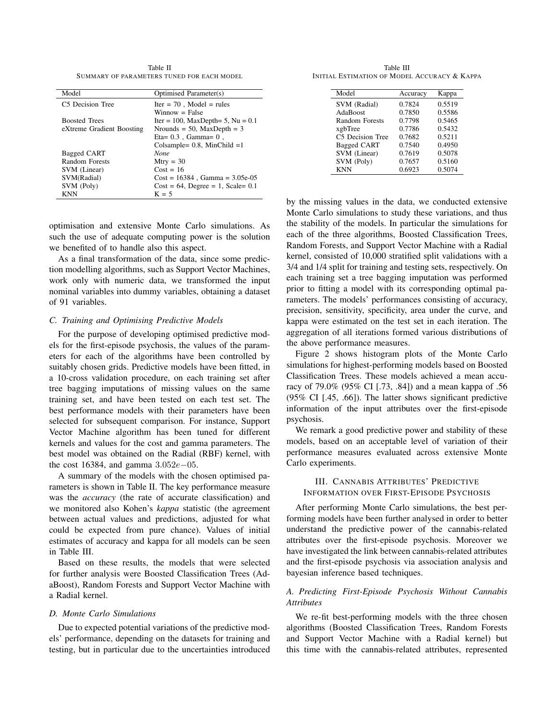Table II SUMMARY OF PARAMETERS TUNED FOR EACH MODEL

| Model                     | Optimised Parameter(s)                |  |
|---------------------------|---------------------------------------|--|
| C5 Decision Tree          | $Iter = 70$ . Model = rules           |  |
|                           | $W$ innow = False                     |  |
| <b>Boosted Trees</b>      | Iter = 100, MaxDepth= 5, Nu = $0.1$   |  |
| eXtreme Gradient Boosting | Nrounds = 50, MaxDepth = $3$          |  |
|                           | $E$ ta= 0.3, Gamma= 0,                |  |
|                           | Colsample= $0.8$ , MinChild = 1       |  |
| Bagged CART               | None                                  |  |
| Random Forests            | $Mtry = 30$                           |  |
| SVM (Linear)              | $Cost = 16$                           |  |
| SVM(Radial)               | $Cost = 16384$ , Gamma = 3.05e-05     |  |
| SVM (Poly)                | $Cost = 64$ , Degree = 1, Scale = 0.1 |  |
| KNN                       | $K = 5$                               |  |

optimisation and extensive Monte Carlo simulations. As such the use of adequate computing power is the solution we benefited of to handle also this aspect.

As a final transformation of the data, since some prediction modelling algorithms, such as Support Vector Machines, work only with numeric data, we transformed the input nominal variables into dummy variables, obtaining a dataset of 91 variables.

## *C. Training and Optimising Predictive Models*

For the purpose of developing optimised predictive models for the first-episode psychosis, the values of the parameters for each of the algorithms have been controlled by suitably chosen grids. Predictive models have been fitted, in a 10-cross validation procedure, on each training set after tree bagging imputations of missing values on the same training set, and have been tested on each test set. The best performance models with their parameters have been selected for subsequent comparison. For instance, Support Vector Machine algorithm has been tuned for different kernels and values for the cost and gamma parameters. The best model was obtained on the Radial (RBF) kernel, with the cost 16384, and gamma  $3.052e-05$ .

A summary of the models with the chosen optimised parameters is shown in Table II. The key performance measure was the *accuracy* (the rate of accurate classification) and we monitored also Kohen's *kappa* statistic (the agreement between actual values and predictions, adjusted for what could be expected from pure chance). Values of initial estimates of accuracy and kappa for all models can be seen in Table III.

Based on these results, the models that were selected for further analysis were Boosted Classification Trees (AdaBoost), Random Forests and Support Vector Machine with a Radial kernel.

### *D. Monte Carlo Simulations*

Due to expected potential variations of the predictive models' performance, depending on the datasets for training and testing, but in particular due to the uncertainties introduced

Table III INITIAL ESTIMATION OF MODEL ACCURACY & KAPPA

| Model              | Accuracy | Kappa  |
|--------------------|----------|--------|
| SVM (Radial)       | 0.7824   | 0.5519 |
| AdaBoost           | 0.7850   | 0.5586 |
| Random Forests     | 0.7798   | 0.5465 |
| xgbTree            | 0.7786   | 0.5432 |
| C5 Decision Tree   | 0.7682   | 0.5211 |
| <b>Bagged CART</b> | 0.7540   | 0.4950 |
| SVM (Linear)       | 0.7619   | 0.5078 |
| SVM (Poly)         | 0.7657   | 0.5160 |
| <b>KNN</b>         | 0.6923   | 0.5074 |

by the missing values in the data, we conducted extensive Monte Carlo simulations to study these variations, and thus the stability of the models. In particular the simulations for each of the three algorithms, Boosted Classification Trees, Random Forests, and Support Vector Machine with a Radial kernel, consisted of 10,000 stratified split validations with a 3/4 and 1/4 split for training and testing sets, respectively. On each training set a tree bagging imputation was performed prior to fitting a model with its corresponding optimal parameters. The models' performances consisting of accuracy, precision, sensitivity, specificity, area under the curve, and kappa were estimated on the test set in each iteration. The aggregation of all iterations formed various distributions of the above performance measures.

Figure 2 shows histogram plots of the Monte Carlo simulations for highest-performing models based on Boosted Classification Trees. These models achieved a mean accuracy of 79.0% (95% CI [.73, .84]) and a mean kappa of .56 (95% CI [.45, .66]). The latter shows significant predictive information of the input attributes over the first-episode psychosis.

We remark a good predictive power and stability of these models, based on an acceptable level of variation of their performance measures evaluated across extensive Monte Carlo experiments.

## III. CANNABIS ATTRIBUTES' PREDICTIVE INFORMATION OVER FIRST-EPISODE PSYCHOSIS

After performing Monte Carlo simulations, the best performing models have been further analysed in order to better understand the predictive power of the cannabis-related attributes over the first-episode psychosis. Moreover we have investigated the link between cannabis-related attributes and the first-episode psychosis via association analysis and bayesian inference based techniques.

## *A. Predicting First-Episode Psychosis Without Cannabis Attributes*

We re-fit best-performing models with the three chosen algorithms (Boosted Classification Trees, Random Forests and Support Vector Machine with a Radial kernel) but this time with the cannabis-related attributes, represented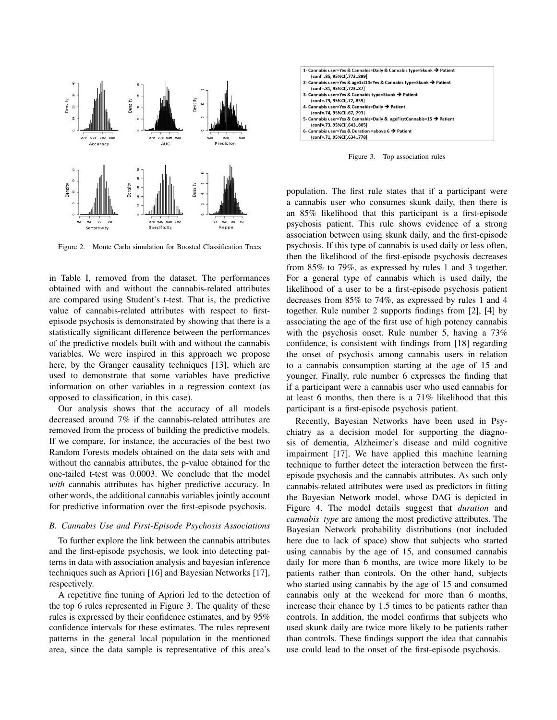

Figure 2. Monte Carlo simulation for Boosted Classification Trees

in Table I, removed from the dataset. The performances obtained with and without the cannabis-related attributes are compared using Student's t-test. That is, the predictive value of cannabis-related attributes with respect to firstepisode psychosis is demonstrated by showing that there is a statistically significant difference between the performances of the predictive models built with and without the cannabis variables. We were inspired in this approach we propose here, by the Granger causality techniques [13], which are used to demonstrate that some variables have predictive information on other variables in a regression context (as opposed to classification, in this case).

Our analysis shows that the accuracy of all models decreased around 7% if the cannabis-related attributes are removed from the process of building the predictive models. If we compare, for instance, the accuracies of the best two Random Forests models obtained on the data sets with and without the cannabis attributes, the p-value obtained for the one-tailed t-test was 0.0003. We conclude that the model *with* cannabis attributes has higher predictive accuracy. In other words, the additional cannabis variables jointly account for predictive information over the first-episode psychosis.

### *B. Cannabis Use and First-Episode Psychosis Associations*

To further explore the link between the cannabis attributes and the first-episode psychosis, we look into detecting patterns in data with association analysis and bayesian inference techniques such as Apriori [16] and Bayesian Networks [17], respectively.

A repetitive fine tuning of Apriori led to the detection of the top 6 rules represented in Figure 3. The quality of these rules is expressed by their confidence estimates, and by 95% confidence intervals for these estimates. The rules represent patterns in the general local population in the mentioned area, since the data sample is representative of this area's



Figure 3. Top association rules

population. The first rule states that if a participant were a cannabis user who consumes skunk daily, then there is an 85% likelihood that this participant is a first-episode psychosis patient. This rule shows evidence of a strong association between using skunk daily, and the first-episode psychosis. If this type of cannabis is used daily or less often, then the likelihood of the first-episode psychosis decreases from 85% to 79%, as expressed by rules 1 and 3 together. For a general type of cannabis which is used daily, the likelihood of a user to be a first-episode psychosis patient decreases from 85% to 74%, as expressed by rules 1 and 4 together. Rule number 2 supports findings from [2], [4] by associating the age of the first use of high potency cannabis with the psychosis onset. Rule number 5, having a 73% confidence, is consistent with findings from [18] regarding the onset of psychosis among cannabis users in relation to a cannabis consumption starting at the age of 15 and younger. Finally, rule number 6 expresses the finding that if a participant were a cannabis user who used cannabis for at least 6 months, then there is a 71% likelihood that this participant is a first-episode psychosis patient.

Recently, Bayesian Networks have been used in Psychiatry as a decision model for supporting the diagnosis of dementia, Alzheimer's disease and mild cognitive impairment [17]. We have applied this machine learning technique to further detect the interaction between the firstepisode psychosis and the cannabis attributes. As such only cannabis-related attributes were used as predictors in fitting the Bayesian Network model, whose DAG is depicted in Figure 4. The model details suggest that *duration* and *cannabis type* are among the most predictive attributes. The Bayesian Network probability distributions (not included here due to lack of space) show that subjects who started using cannabis by the age of 15, and consumed cannabis daily for more than 6 months, are twice more likely to be patients rather than controls. On the other hand, subjects who started using cannabis by the age of 15 and consumed cannabis only at the weekend for more than 6 months, increase their chance by 1.5 times to be patients rather than controls. In addition, the model confirms that subjects who used skunk daily are twice more likely to be patients rather than controls. These findings support the idea that cannabis use could lead to the onset of the first-episode psychosis.